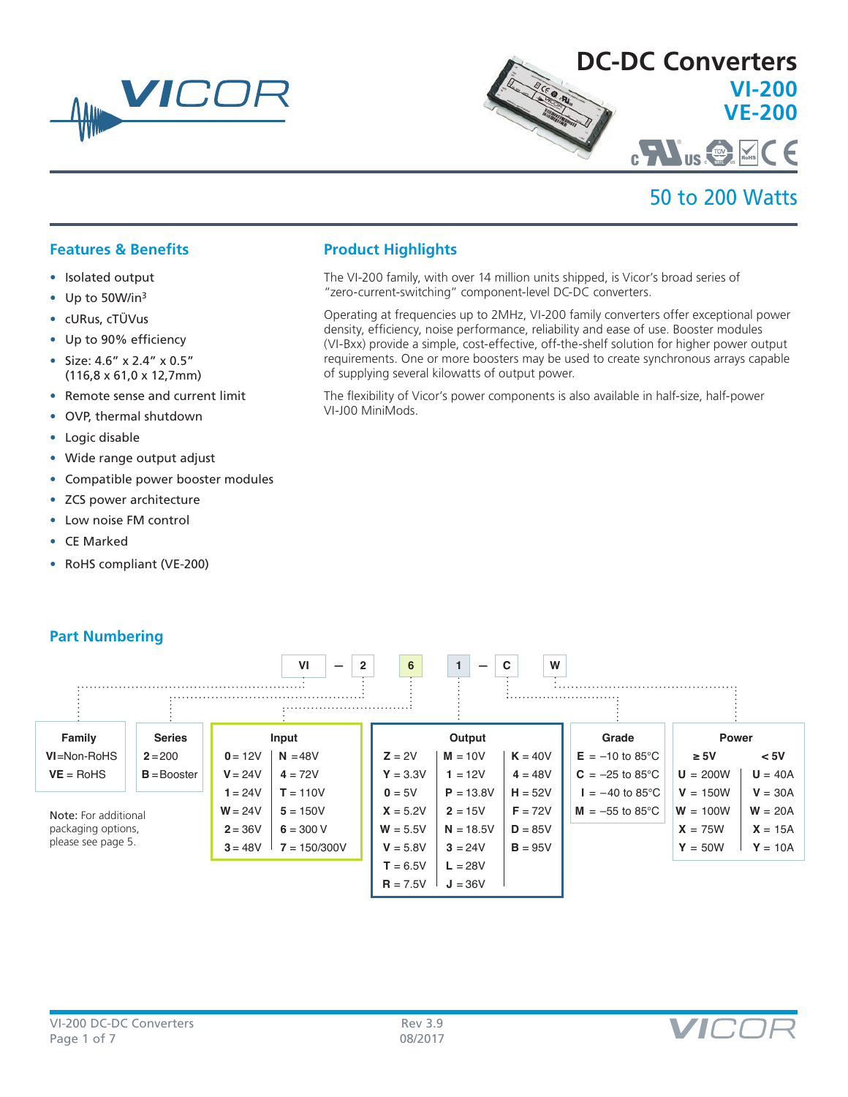



## 50 to 200 Watts

## **Features & Benefits**

- Isolated output
- Up to 50W/in3
- cURus, cTÜVus
- Up to 90% efficiency
- Size: 4.6" x 2.4" x 0.5" (116,8 x 61,0 x 12,7mm)
- Remote sense and current limit
- OVP, thermal shutdown
- Logic disable
- Wide range output adjust
- Compatible power booster modules
- ZCS power architecture
- Low noise FM control
- CE Marked
- RoHS compliant (VE-200)

## **Product Highlights**

The VI-200 family, with over 14 million units shipped, is Vicor's broad series of "zero-current-switching" component-level DC-DC converters.

Operating at frequencies up to 2MHz, VI-200 family converters offer exceptional power density, efficiency, noise performance, reliability and ease of use. Booster modules (VI-Bxx) provide a simple, cost-effective, off-the-shelf solution for higher power output requirements. One or more boosters may be used to create synchronous arrays capable of supplying several kilowatts of output power.

The flexibility of Vicor's power components is also available in half-size, half-power VI-J00 MiniMods.



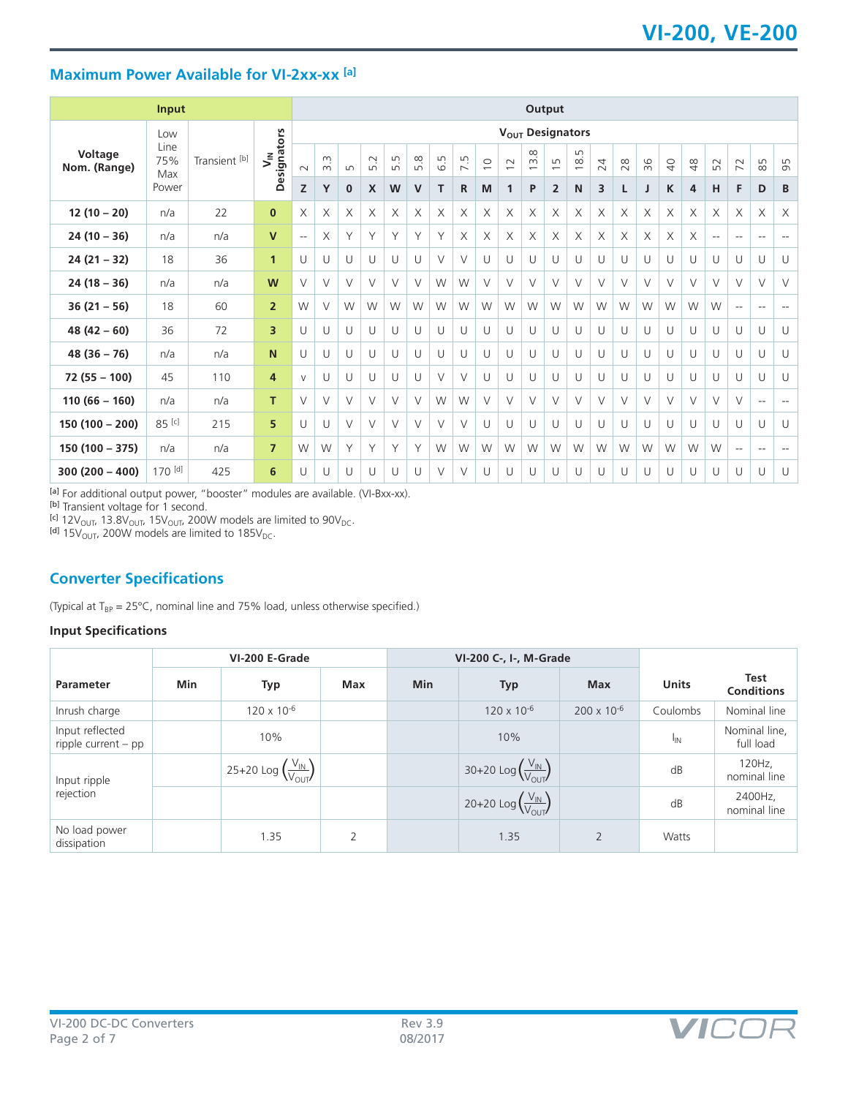## **Maximum Power Available for VI-2xx-xx [a]**

|                         | <b>Input</b>       |               |                              |                              | Output               |          |        |                                |        |        |        |             |                |                                                        |                                              |                               |        |        |        |                |        |                          |                          |                          |                          |
|-------------------------|--------------------|---------------|------------------------------|------------------------------|----------------------|----------|--------|--------------------------------|--------|--------|--------|-------------|----------------|--------------------------------------------------------|----------------------------------------------|-------------------------------|--------|--------|--------|----------------|--------|--------------------------|--------------------------|--------------------------|--------------------------|
|                         | Low                |               |                              | $V_{\text{OUT}}$ Designators |                      |          |        |                                |        |        |        |             |                |                                                        |                                              |                               |        |        |        |                |        |                          |                          |                          |                          |
| Voltage<br>Nom. (Range) | Line<br>75%<br>Max | Transient [b] | Designators<br>$\bar{\zeta}$ | $\sim$                       | $\infty$<br>$\infty$ | LO       | 5.2    | $\mathsf{L}\cap$<br>$\sqrt{ }$ | 5.8    | 6.5    | 7.5    | $\supseteq$ | $\overline{c}$ | $\infty$<br>$\overline{m}$<br>$\overline{\phantom{0}}$ | $\mathsf{L}\cap$<br>$\overline{\phantom{0}}$ | LN<br>$\frac{\infty}{\infty}$ | 24     | 28     | 36     | $\overline{Q}$ | $48$   | 52                       | $\overline{7}$           | 85                       | 95                       |
|                         | Power              |               |                              | Z                            | Y                    | $\bf{0}$ | X      | W                              | V      | т      | R      | M           | 1              | P                                                      | $\overline{2}$                               | N                             | 3      | L      |        | K              | 4      | н                        | F                        | D                        | B                        |
| $12(10-20)$             | n/a                | 22            | $\mathbf{0}$                 | X                            | X                    | X        | X      | X                              | X      | X      | X      | X           | X              | X                                                      | X                                            | X                             | X      | X      | X      | X              | X      | X                        | X                        | X                        | $\times$                 |
| $24(10 - 36)$           | n/a                | n/a           | $\mathsf{V}$                 | $\overline{\phantom{a}}$     | X                    | Υ        | Υ      | Υ                              | Υ      | Y      | X      | X           | X              | X                                                      | X                                            | X                             | X      | X      | X      | X              | X      | $\overline{\phantom{a}}$ | $- -$                    | $\sim$ $\sim$            | $\overline{\phantom{a}}$ |
| $24(21 - 32)$           | 18                 | 36            | $\mathbf{1}$                 | $\cup$                       | U                    | U        | U      | U                              | U      | $\vee$ | $\vee$ | U           | U              | U                                                      | U                                            | U                             | U      | $\cup$ | U      | U              | U      | U                        | U                        | U                        | U                        |
| $24(18 - 36)$           | n/a                | n/a           | W                            | $\vee$                       | $\vee$               | V        | $\vee$ | V                              | $\vee$ | W      | W      | $\vee$      | V              | V                                                      | $\vee$                                       | $\vee$                        | $\vee$ | $\vee$ | $\vee$ | V              | $\vee$ | $\vee$                   | $\vee$                   | $\vee$                   | $\vee$                   |
| $36(21 - 56)$           | 18                 | 60            | $\overline{2}$               | W                            | $\vee$               | W        | W      | W                              | W      | W      | W      | W           | W              | W                                                      | W                                            | W                             | W      | W      | W      | W              | W      | W                        | $\sim$ $\sim$            | $\sim$ $\sim$            | $\overline{\phantom{a}}$ |
| $48(42-60)$             | 36                 | 72            | 3                            | $\cup$                       | U                    | $\cup$   | U      | $\cup$                         | $\cup$ | U      | $\cup$ | $\cup$      | $\cup$         | U                                                      | $\cup$                                       | $\cup$                        | U      | $\cup$ | $\cup$ | U              | U      | $\cup$                   | $\cup$                   | $\cup$                   | $\cup$                   |
| $48(36-76)$             | n/a                | n/a           | $\mathbf N$                  | U                            | U                    | U        | U      | U                              | U      | U      | U      | U           | U              | U                                                      | U                                            | U                             | U      | U      | U      | U              | U      | U                        | U                        | U                        | U                        |
| $72(55 - 100)$          | 45                 | 110           | $\overline{4}$               | $\vee$                       | U                    | U        | U      | U                              | U      | V      | $\vee$ | U           | U              | U                                                      | U                                            | U                             | U      | U      | U      | $\cup$         | U      | U                        | U                        | $\cup$                   | $\cup$                   |
| $110(66 - 160)$         | n/a                | n/a           | T.                           | $\vee$                       | $\vee$               | V        | $\vee$ | V                              | $\vee$ | W      | W      | $\vee$      | $\vee$         | $\vee$                                                 | V                                            | $\vee$                        | $\vee$ | $\vee$ | V      | V              | V      | $\vee$                   | $\vee$                   | $\overline{\phantom{a}}$ | $\overline{\phantom{a}}$ |
| $150(100 - 200)$        | 85 [c]             | 215           | 5                            | $\cup$                       | U                    | $\vee$   | V      | $\vee$                         | $\vee$ | $\vee$ | $\vee$ | U           | $\cup$         | U                                                      | U                                            | $\cup$                        | U      | U      | U      | U              | U      | U                        | U                        | $\cup$                   | $\cup$                   |
| $150(100 - 375)$        | n/a                | n/a           | $\overline{7}$               | W                            | W                    | Y        | Υ      | Υ                              | Υ      | W      | W      | W           | W              | W                                                      | W                                            | W                             | W      | W      | W      | W              | W      | W                        | $\overline{\phantom{a}}$ | $\sim$ $\sim$            | $\overline{\phantom{a}}$ |
| $300(200 - 400)$        | 170 [d]            | 425           | 6                            | $\cup$                       | U                    | U        | U      | U                              | U      | $\vee$ | $\vee$ | U           | U              | U                                                      | U                                            | U                             | U      | U      | U      | $\cup$         | U      | U                        | U                        | $\cup$                   | $\cup$                   |

[a] For additional output power, "booster" modules are available. (VI-Bxx-xx).

<sup>[b]</sup> Transient voltage for 1 second.

<sup>[c]</sup> 12V<sub>OUT</sub>, 13.8V<sub>OUT</sub>, 15V<sub>OUT</sub>, 200W models are limited to 90V<sub>DC</sub>.<br><sup>[d]</sup> 15V<sub>OUT</sub>, 200W models are limited to 185V<sub>DC</sub>.

## **Converter Specifications**

(Typical at  $T_{BP} = 25^{\circ}C$ , nominal line and 75% load, unless otherwise specified.)

#### **Input Specifications**

|                                          | VI-200 E-Grade |                                                 |     |            | VI-200 C-, I-, M-Grade                          |                      |                 |                                  |
|------------------------------------------|----------------|-------------------------------------------------|-----|------------|-------------------------------------------------|----------------------|-----------------|----------------------------------|
| <b>Parameter</b>                         | Min            | Typ                                             | Max | <b>Min</b> | <b>Typ</b>                                      | <b>Max</b>           | <b>Units</b>    | <b>Test</b><br><b>Conditions</b> |
| Inrush charge                            |                | $120 \times 10^{-6}$                            |     |            | $120 \times 10^{-6}$                            | $200 \times 10^{-6}$ | Coulombs        | Nominal line                     |
| Input reflected<br>ripple current $-$ pp |                | 10%                                             |     |            | 10%                                             |                      | <sup>I</sup> IN | Nominal line,<br>full load       |
| Input ripple                             |                | 25+20 Log $\left(\frac{V_{IN}}{V_{OUT}}\right)$ |     |            | 30+20 Log $\left(\frac{V_{IN}}{V_{OUT}}\right)$ |                      | dB              | 120Hz,<br>nominal line           |
| rejection                                |                |                                                 |     |            | 20+20 Log $\left(\frac{V_{IN}}{V_{OUT}}\right)$ |                      | dB              | 2400Hz,<br>nominal line          |
| No load power<br>dissipation             |                | 1.35                                            | 2   |            | 1.35                                            | $\overline{2}$       | Watts           |                                  |

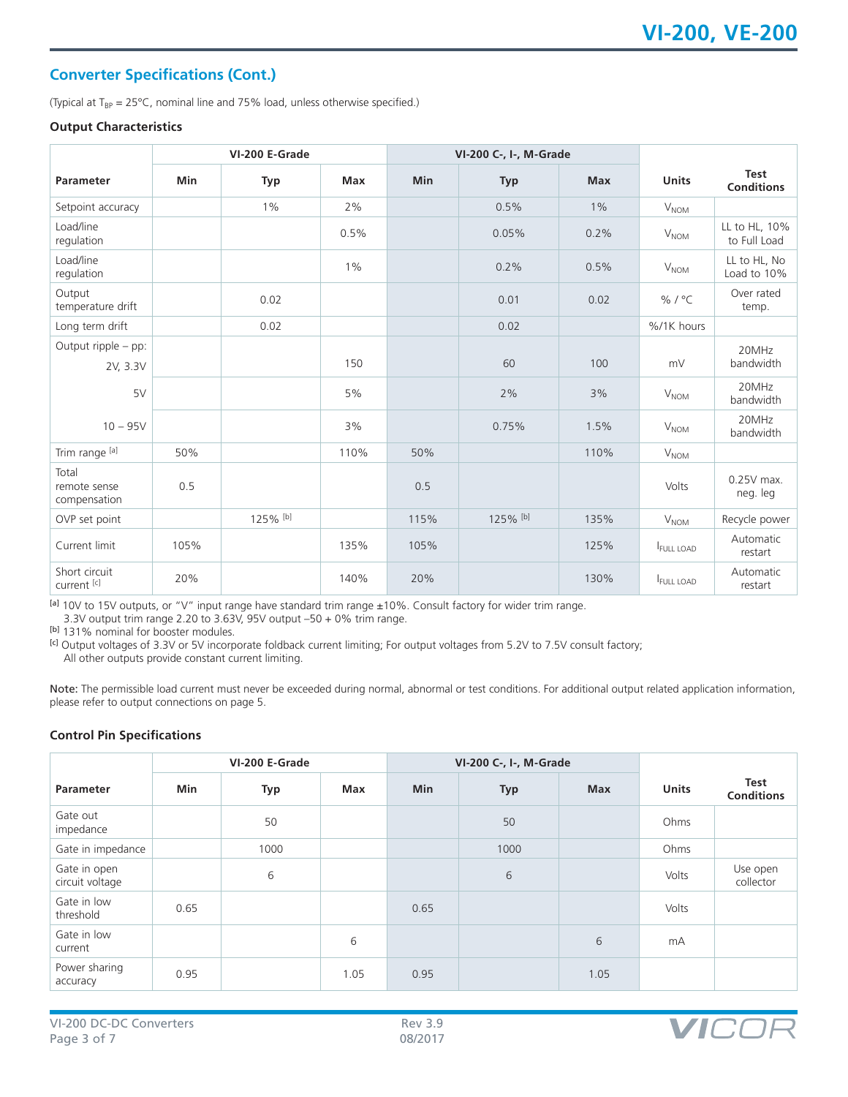## **Converter Specifications (Cont.)**

(Typical at  $T_{BP} = 25^{\circ}$ C, nominal line and 75% load, unless otherwise specified.)

#### **Output Characteristics**

|                                         |      | VI-200 E-Grade |       |            | VI-200 C-, I-, M-Grade |            |                        |                                  |
|-----------------------------------------|------|----------------|-------|------------|------------------------|------------|------------------------|----------------------------------|
| <b>Parameter</b>                        | Min  | <b>Typ</b>     | Max   | <b>Min</b> | <b>Typ</b>             | <b>Max</b> | <b>Units</b>           | <b>Test</b><br><b>Conditions</b> |
| Setpoint accuracy                       |      | $1\%$          | 2%    |            | 0.5%                   | $1\%$      | <b>V<sub>NOM</sub></b> |                                  |
| Load/line<br>regulation                 |      |                | 0.5%  |            | 0.05%                  | 0.2%       | $V_{\text{NOM}}$       | LL to HL, 10%<br>to Full Load    |
| Load/line<br>regulation                 |      |                | $1\%$ |            | 0.2%                   | 0.5%       | V <sub>NOM</sub>       | LL to HL, No<br>Load to 10%      |
| Output<br>temperature drift             |      | 0.02           |       |            | 0.01                   | 0.02       | % / °C                 | Over rated<br>temp.              |
| Long term drift                         |      | 0.02           |       |            | 0.02                   |            | %/1K hours             |                                  |
| Output ripple - pp:<br>2V, 3.3V         |      |                | 150   |            | 60                     | 100        | mV                     | 20MHz<br>bandwidth               |
| 5V                                      |      |                | 5%    |            | 2%                     | 3%         | V <sub>NOM</sub>       | 20MHz<br>bandwidth               |
| $10 - 95V$                              |      |                | 3%    |            | 0.75%                  | 1.5%       | V <sub>NOM</sub>       | 20MHz<br>bandwidth               |
| Trim range [a]                          | 50%  |                | 110%  | 50%        |                        | 110%       | <b>V<sub>NOM</sub></b> |                                  |
| Total<br>remote sense<br>compensation   | 0.5  |                |       | 0.5        |                        |            | Volts                  | $0.25V$ max.<br>neg. leg         |
| OVP set point                           |      | 125% [b]       |       | 115%       | 125% [b]               | 135%       | $V_{\text{NOM}}$       | Recycle power                    |
| Current limit                           | 105% |                | 135%  | 105%       |                        | 125%       | <b>FULL LOAD</b>       | Automatic<br>restart             |
| Short circuit<br>current <sup>[c]</sup> | 20%  |                | 140%  | 20%        |                        | 130%       | FULL LOAD              | Automatic<br>restart             |

[a] 10V to 15V outputs, or "V" input range have standard trim range ±10%. Consult factory for wider trim range.

3.3V output trim range 2.20 to 3.63V, 95V output –50 + 0% trim range.

[b] 131% nominal for booster modules.

<sup>[c]</sup> Output voltages of 3.3V or 5V incorporate foldback current limiting; For output voltages from 5.2V to 7.5V consult factory;

All other outputs provide constant current limiting.

Note: The permissible load current must never be exceeded during normal, abnormal or test conditions. For additional output related application information, please refer to output connections on page 5.

#### **Control Pin Specifications**

|                                 | VI-200 E-Grade |      |      |            | VI-200 C-, I-, M-Grade |            |              |                           |
|---------------------------------|----------------|------|------|------------|------------------------|------------|--------------|---------------------------|
| Parameter                       | Min            | Typ  | Max  | <b>Min</b> | <b>Typ</b>             | <b>Max</b> | <b>Units</b> | Test<br><b>Conditions</b> |
| Gate out<br>impedance           |                | 50   |      |            | 50                     |            | Ohms         |                           |
| Gate in impedance               |                | 1000 |      |            | 1000                   |            | Ohms         |                           |
| Gate in open<br>circuit voltage |                | 6    |      |            | 6                      |            | Volts        | Use open<br>collector     |
| Gate in low<br>threshold        | 0.65           |      |      | 0.65       |                        |            | Volts        |                           |
| Gate in low<br>current          |                |      | 6    |            |                        | 6          | mA           |                           |
| Power sharing<br>accuracy       | 0.95           |      | 1.05 | 0.95       |                        | 1.05       |              |                           |

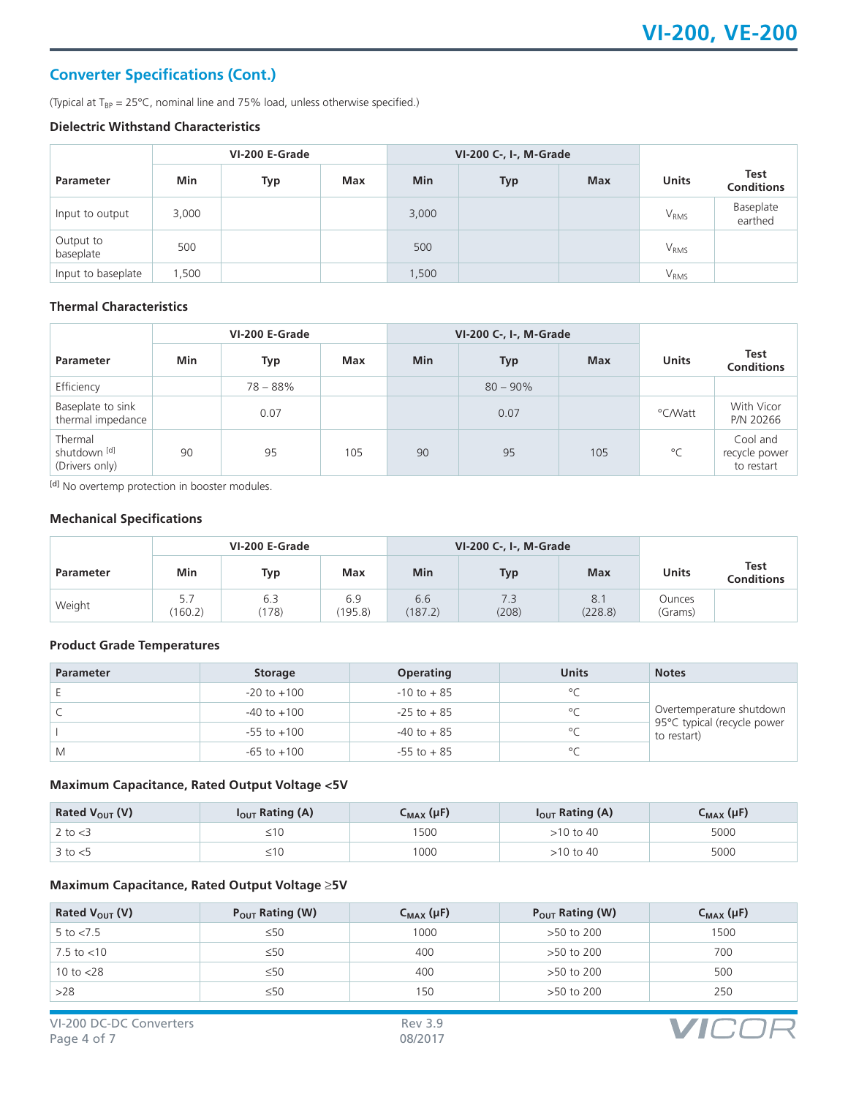## **Converter Specifications (Cont.)**

(Typical at  $T_{BP} = 25^{\circ}$ C, nominal line and 75% load, unless otherwise specified.)

#### **Dielectric Withstand Characteristics**

|                        | VI-200 E-Grade |     |     |            | VI-200 C-, I-, M-Grade |            |                  |                                  |
|------------------------|----------------|-----|-----|------------|------------------------|------------|------------------|----------------------------------|
| <b>Parameter</b>       | Min            | Typ | Max | <b>Min</b> | <b>Typ</b>             | <b>Max</b> | <b>Units</b>     | <b>Test</b><br><b>Conditions</b> |
| Input to output        | 3,000          |     |     | 3,000      |                        |            | $V_{RMS}$        | Baseplate<br>earthed             |
| Output to<br>baseplate | 500            |     |     | 500        |                        |            | V <sub>RMS</sub> |                                  |
| Input to baseplate     | ,500           |     |     | 1,500      |                        |            | V <sub>RMS</sub> |                                  |

## **Thermal Characteristics**

| VI-200 E-Grade                            |     |            |     | VI-200 C-, I-, M-Grade |             |            |              |                                         |
|-------------------------------------------|-----|------------|-----|------------------------|-------------|------------|--------------|-----------------------------------------|
| <b>Parameter</b>                          | Min | Typ        | Max | <b>Min</b>             | Typ         | <b>Max</b> | <b>Units</b> | Test<br><b>Conditions</b>               |
| Efficiency                                |     | $78 - 88%$ |     |                        | $80 - 90\%$ |            |              |                                         |
| Baseplate to sink<br>thermal impedance    |     | 0.07       |     |                        | 0.07        |            | °C/Watt      | With Vicor<br>P/N 20266                 |
| Thermal<br>shutdown [d]<br>(Drivers only) | 90  | 95         | 105 | 90                     | 95          | 105        | $^{\circ}$ C | Cool and<br>recycle power<br>to restart |

[d] No overtemp protection in booster modules.

#### **Mechanical Specifications**

|                  | VI-200 E-Grade |              |                |                | VI-200 C-, I-, M-Grade |               |                   |                                  |
|------------------|----------------|--------------|----------------|----------------|------------------------|---------------|-------------------|----------------------------------|
| <b>Parameter</b> | Min            | Typ          | Max            | Min            | <b>Typ</b>             | <b>Max</b>    | <b>Units</b>      | <b>Test</b><br><b>Conditions</b> |
| Weight           | 5.7<br>(160.2) | 6.3<br>(178) | 6.9<br>(195.8) | 6.6<br>(187.2) | 7.3<br>(208)           | 8.<br>(228.8) | Ounces<br>(Grams) |                                  |

#### **Product Grade Temperatures**

| <b>Parameter</b> | <b>Storage</b>  | <b>Operating</b> | <b>Units</b> | <b>Notes</b>                               |
|------------------|-----------------|------------------|--------------|--------------------------------------------|
|                  | $-20$ to $+100$ | $-10$ to $+85$   | $\circ$      |                                            |
|                  | $-40$ to $+100$ | $-25$ to $+85$   | $\circ$      | Overtemperature shutdown                   |
|                  | $-55$ to $+100$ | $-40$ to $+85$   | $\circ$      | 95°C typical (recycle power<br>to restart) |
| M                | $-65$ to $+100$ | $-55$ to $+85$   | $\circ$      |                                            |

## **Maximum Capacitance, Rated Output Voltage <5V**

| Rated $V_{OUT}$ (V) | $I_{OUT}$ Rating (A) | C <sub>MAX</sub> (µF) | $I_{\text{OUT}}$ Rating (A) | $C_{MAX}(\mu F)$ |
|---------------------|----------------------|-----------------------|-----------------------------|------------------|
| 2 to $<$ 3          | ≥∣∪                  | 500                   | >10 to 40                   | 5000             |
| $3$ to $<$ 5        | ≥∣∪                  | 1000                  | >10 to 40                   | 5000             |

#### **Maximum Capacitance, Rated Output Voltage** ≥**5V**

| Rated $V_{\text{OUT}}(V)$ | $P_{OUT}$ Rating (W) | $C_{MAX}(\mu F)$ | $P_{OUT}$ Rating (W) | $C_{MAX}(\mu F)$ |
|---------------------------|----------------------|------------------|----------------------|------------------|
| 5 to $< 7.5$              | $\leq 50$            | 1000             | >50 to 200           | 1500             |
| 7.5 to $<$ 10             | $\leq 50$            | 400              | >50 to 200           | 700              |
| 10 to $<$ 28              | $\leq 50$            | 400              | >50 to 200           | 500              |
| >28                       | $\leq 50$            | 150              | >50 to 200           | 250              |

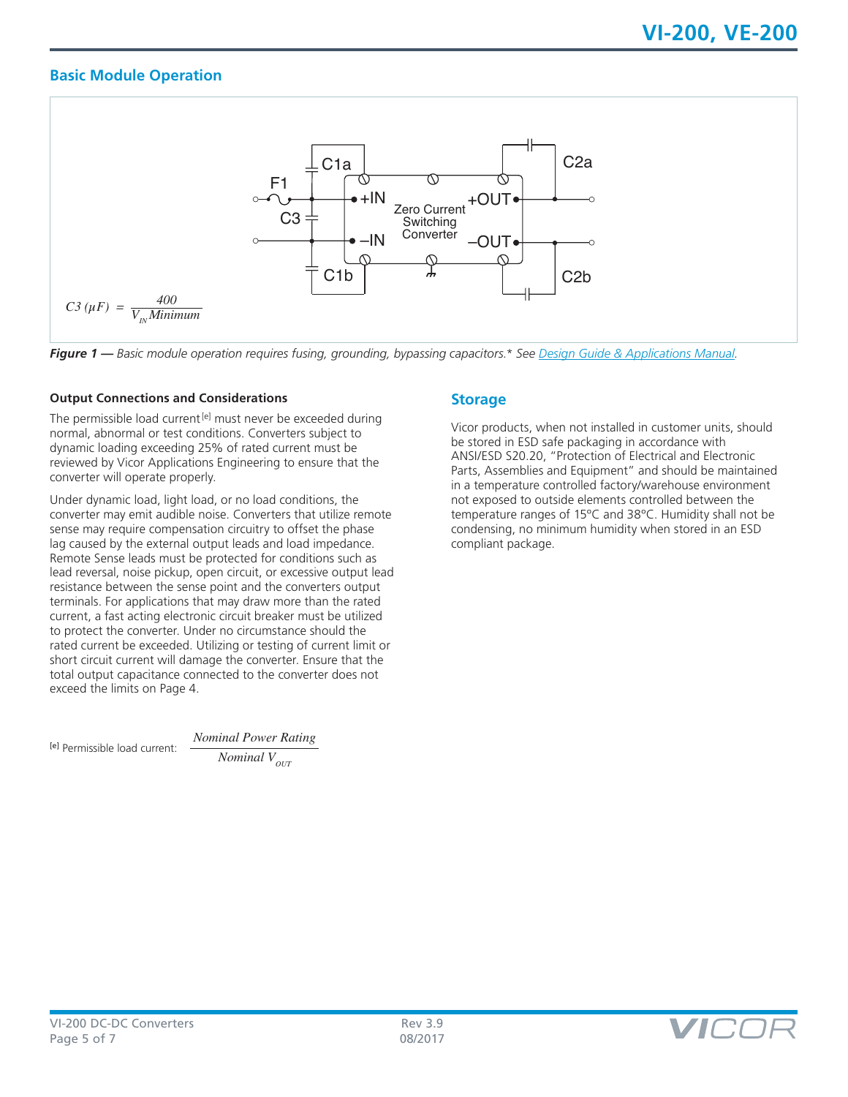## **Basic Module Operation**



*Figure 1 — Basic module operation requires fusing, grounding, bypassing capacitors.\* See [Design Guide & Applications Manual.](http://www.vicorpower.com/documents/applications_manual/DesignGuideAppsManual_200J00.pdf)*

#### **Output Connections and Considerations**

The permissible load current<sup>[e]</sup> must never be exceeded during normal, abnormal or test conditions. Converters subject to dynamic loading exceeding 25% of rated current must be reviewed by Vicor Applications Engineering to ensure that the converter will operate properly.

Under dynamic load, light load, or no load conditions, the converter may emit audible noise. Converters that utilize remote sense may require compensation circuitry to offset the phase lag caused by the external output leads and load impedance. Remote Sense leads must be protected for conditions such as lead reversal, noise pickup, open circuit, or excessive output lead resistance between the sense point and the converters output terminals. For applications that may draw more than the rated current, a fast acting electronic circuit breaker must be utilized to protect the converter. Under no circumstance should the rated current be exceeded. Utilizing or testing of current limit or short circuit current will damage the converter. Ensure that the total output capacitance connected to the converter does not exceed the limits on Page 4.

[e] Permissible load current:

*Nominal Power Rating Nominal*  $V_{OUT}$ 

## **Storage**

Vicor products, when not installed in customer units, should be stored in ESD safe packaging in accordance with ANSI/ESD S20.20, "Protection of Electrical and Electronic Parts, Assemblies and Equipment" and should be maintained in a temperature controlled factory/warehouse environment not exposed to outside elements controlled between the temperature ranges of 15ºC and 38ºC. Humidity shall not be condensing, no minimum humidity when stored in an ESD compliant package.

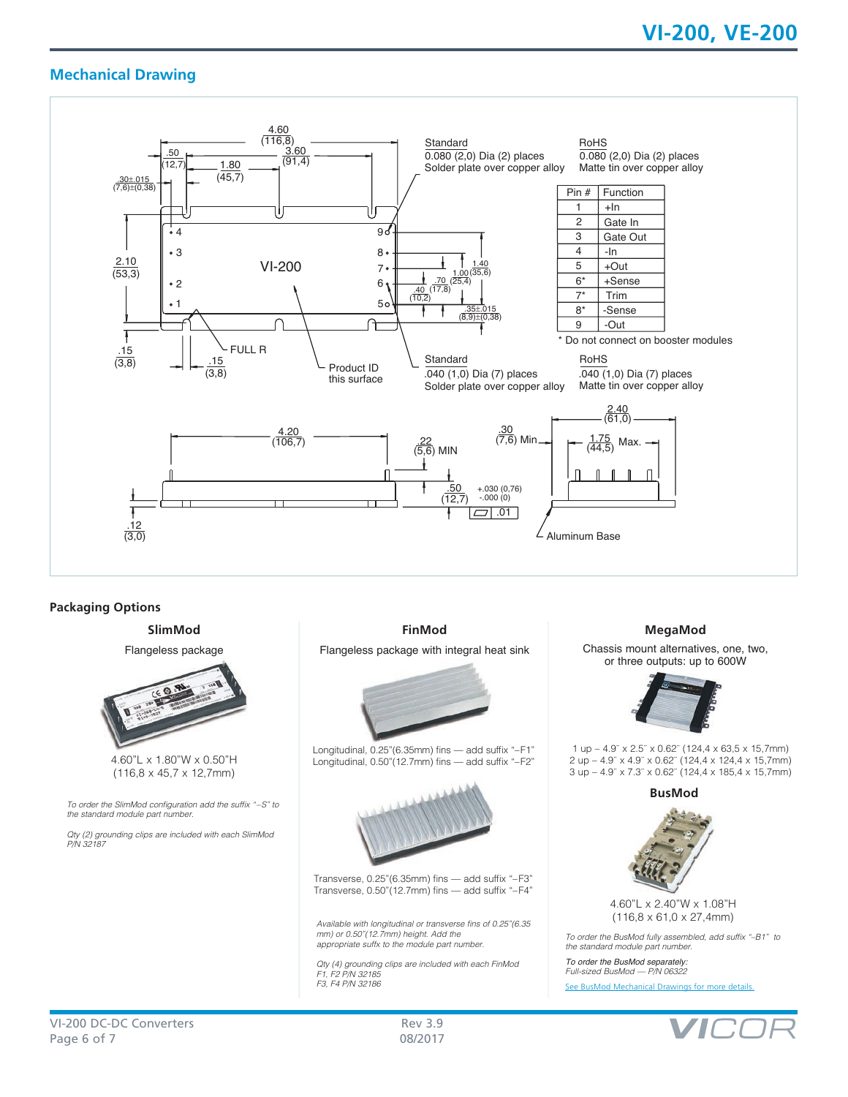## **Mechanical Drawing**



#### **Packaging Options**

**SlimMod**

Flangeless package



4.60"L x 1.80"W x 0.50"H (116,8 x 45,7 x 12,7mm)

To order the SlimMod configuration add the suffix "–S" to the standard module part number.

Qty (2) grounding clips are included with each SlimMod *P/N 32187*

**FinMod**

Flangeless package with integral heat sink



Longitudinal, 0.25"(6.35mm) fins — add suffix "–F1" Longitudinal, 0.50"(12.7mm) fins — add suffix "–F2"



Transverse, 0.25"(6.35mm) fins — add suffix "–F3" Transverse, 0.50"(12.7mm) fins — add suffix "–F4"

Available with longitudinal or transverse fins of 0.25"(6.35 mm) or 0.50"(12.7mm) height. Add the appropriate suffx to the module part number.

Qty (4) grounding clips are included with each FinMod F1, F2 P/N 32185 F3, F4 P/N 32186

#### **MegaMod**

Chassis mount alternatives, one, two, or three outputs: up to 600W



1 up – 4.9¨ x 2.5¨ x 0.62¨ (124,4 x 63,5 x 15,7mm) 2 up – 4.9¨ x 4.9¨ x 0.62¨ (124,4 x 124,4 x 15,7mm) 3 up – 4.9¨ x 7.3¨ x 0.62¨ (124,4 x 185,4 x 15,7mm)

**BusMod**



4.60"L x 2.40"W x 1.08"H (116,8 x 61,0 x 27,4mm)

To order the BusMod fully assembled, add suffix "–B1" to the standard module part number.

*To order the BusMod separately:* Full-sized BusMod — P/N 06322 [See BusMod Mechanical Drawings for more details.](http://asp.vicorpower.com/CADPDF/2R4R4J.PDF)

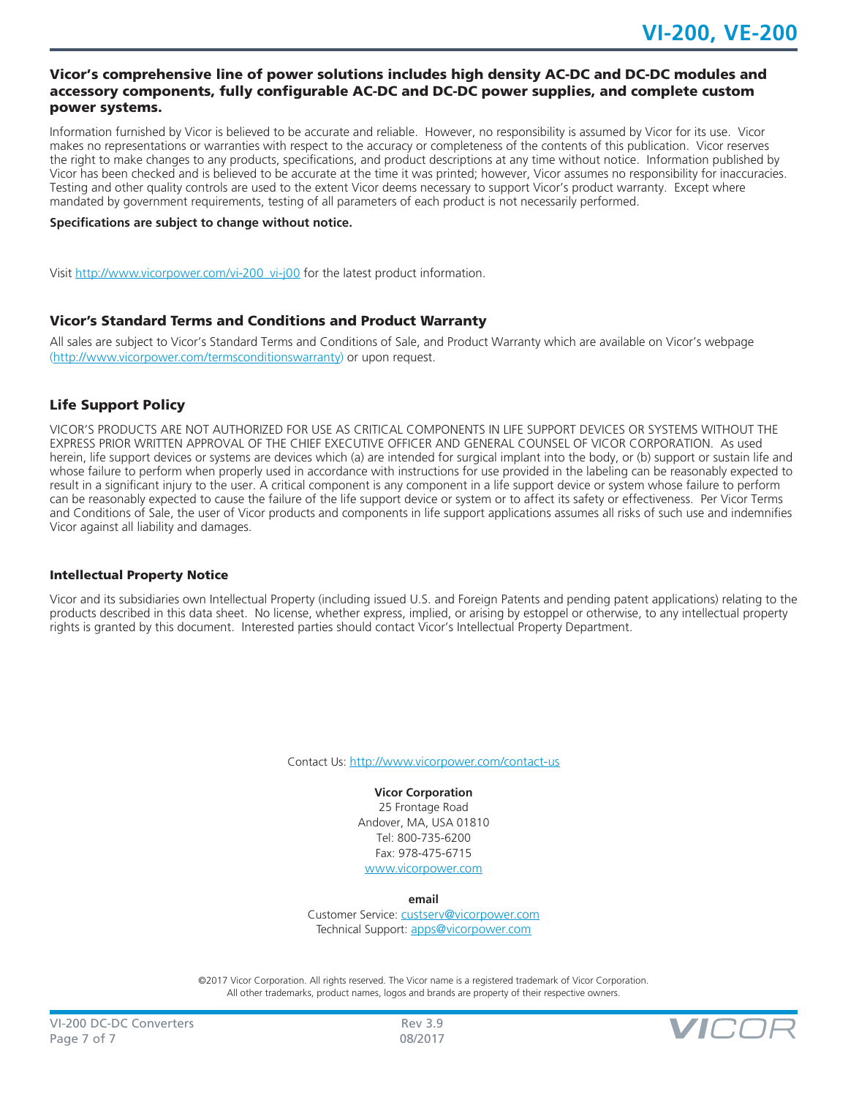#### Vicor's comprehensive line of power solutions includes high density AC-DC and DC-DC modules and accessory components, fully configurable AC-DC and DC-DC power supplies, and complete custom power systems.

Information furnished by Vicor is believed to be accurate and reliable. However, no responsibility is assumed by Vicor for its use. Vicor makes no representations or warranties with respect to the accuracy or completeness of the contents of this publication. Vicor reserves the right to make changes to any products, specifications, and product descriptions at any time without notice. Information published by Vicor has been checked and is believed to be accurate at the time it was printed; however, Vicor assumes no responsibility for inaccuracies. Testing and other quality controls are used to the extent Vicor deems necessary to support Vicor's product warranty. Except where mandated by government requirements, testing of all parameters of each product is not necessarily performed.

#### **Specifications are subject to change without notice.**

Visit [http://www.vicorpower.com/vi-200\\_vi-j00](http://www.vicorpower.com/vi-200_vi-j00) for the latest product information.

#### Vicor's Standard Terms and Conditions and Product Warranty

All sales are subject to Vicor's Standard Terms and Conditions of Sale, and Product Warranty which are available on Vicor's webpage ([http://www.vicorpower.com/termsconditionswarranty\)](http://www.vicorpower.com/termsconditions) or upon request.

#### Life Support Policy

VICOR'S PRODUCTS ARE NOT AUTHORIZED FOR USE AS CRITICAL COMPONENTS IN LIFE SUPPORT DEVICES OR SYSTEMS WITHOUT THE EXPRESS PRIOR WRITTEN APPROVAL OF THE CHIEF EXECUTIVE OFFICER AND GENERAL COUNSEL OF VICOR CORPORATION. As used herein, life support devices or systems are devices which (a) are intended for surgical implant into the body, or (b) support or sustain life and whose failure to perform when properly used in accordance with instructions for use provided in the labeling can be reasonably expected to result in a significant injury to the user. A critical component is any component in a life support device or system whose failure to perform can be reasonably expected to cause the failure of the life support device or system or to affect its safety or effectiveness. Per Vicor Terms and Conditions of Sale, the user of Vicor products and components in life support applications assumes all risks of such use and indemnifies Vicor against all liability and damages.

#### Intellectual Property Notice

Vicor and its subsidiaries own Intellectual Property (including issued U.S. and Foreign Patents and pending patent applications) relating to the products described in this data sheet. No license, whether express, implied, or arising by estoppel or otherwise, to any intellectual property rights is granted by this document. Interested parties should contact Vicor's Intellectual Property Department.

Contact Us: <http://www.vicorpower.com/contact-us>

## **Vicor Corporation**

25 Frontage Road Andover, MA, USA 01810 Tel: 800-735-6200 Fax: 978-475-6715 [www.vicorpower.com](http://www.vicorpower.com)

**email**

Customer Service: [custserv@vicorpower.com](mailto:%20custserv%40vicorpower.com?subject=) Technical Support: [apps@vicorpower.com](mailto:apps%40vicorpower.com?subject=)

©2017 Vicor Corporation. All rights reserved. The Vicor name is a registered trademark of Vicor Corporation. All other trademarks, product names, logos and brands are property of their respective owners.